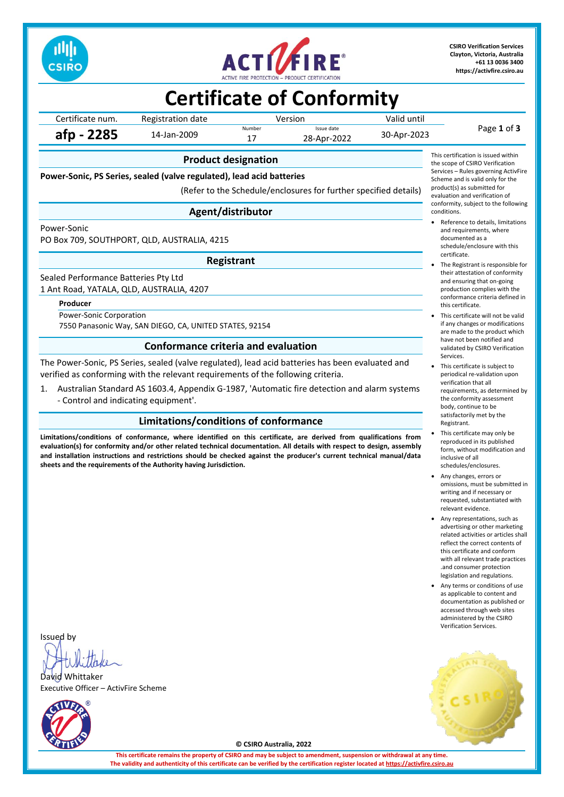



**CSIRO Verification Services Clayton, Victoria, Australia +61 13 0036 3400 [https://activfire.csiro.au](https://activfire.csiro.au/)**

## **Certificate of Conformity**

| Certificate num. | Registration date | Version |                           | Valid until |             |  |
|------------------|-------------------|---------|---------------------------|-------------|-------------|--|
| afp - 2285       | 14-Jan-2009       | Number  | Issue date<br>28-Apr-2022 | 30-Apr-2023 | Page 1 of 3 |  |
|                  |                   |         |                           |             |             |  |

## **Product designation**

**Power-Sonic, PS Series, sealed (valve regulated), lead acid batteries**

(Refer to the Schedule/enclosures for further specified details)

## **Agent/distributor**

#### Power-Sonic

PO Box 709, SOUTHPORT, QLD, AUSTRALIA, 4215

#### **Registrant**

Sealed Performance Batteries Pty Ltd 1 Ant Road, YATALA, QLD, AUSTRALIA, 4207

#### **Producer**

Power-Sonic Corporation 7550 Panasonic Way, SAN DIEGO, CA, UNITED STATES, 92154

### **Conformance criteria and evaluation**

The Power-Sonic, PS Series, sealed (valve regulated), lead acid batteries has been evaluated and verified as conforming with the relevant requirements of the following criteria.

1. Australian Standard AS 1603.4, Appendix G-1987, 'Automatic fire detection and alarm systems - Control and indicating equipment'.

## **Limitations/conditions of conformance**

**Limitations/conditions of conformance, where identified on this certificate, are derived from qualifications from evaluation(s) for conformity and/or other related technical documentation. All details with respect to design, assembly and installation instructions and restrictions should be checked against the producer's current technical manual/data sheets and the requirements of the Authority having Jurisdiction.**

This certification is issued within the scope of CSIRO Verification Services – Rules governing ActivFire Scheme and is valid only for the product(s) as submitted for evaluation and verification of conformity, subject to the following conditions.

- Reference to details, limitations and requirements, where documented as a schedule/enclosure with this certificate.
- The Registrant is responsible for their attestation of conformity and ensuring that on-going production complies with the conformance criteria defined in this certificate.
- This certificate will not be valid if any changes or modifications are made to the product which have not been notified and validated by CSIRO Verification Services.
- This certificate is subject to periodical re-validation upon verification that all requirements, as determined by the conformity assessment body, continue to be satisfactorily met by the Registrant.
- This certificate may only be reproduced in its published form, without modification and inclusive of all schedules/enclosures.
- Any changes, errors or omissions, must be submitted in writing and if necessary or requested, substantiated with relevant evidence.
- Any representations, such as advertising or other marketing related activities or articles shall reflect the correct contents of this certificate and conform with all relevant trade practices .and consumer protection legislation and regulations.
- Any terms or conditions of use as applicable to content and documentation as published or accessed through web sites administered by the CSIRO Verification Services.



Issued by

David Whittaker Executive Officer – ActivFire Scheme



**© CSIRO Australia, 2022**

**This certificate remains the property of CSIRO and may be subject to amendment, suspension or withdrawal at any time. The validity and authenticity of this certificate can be verified by the certification register located at [https://activfire.csiro.au](https://activfire.csiro.au/)**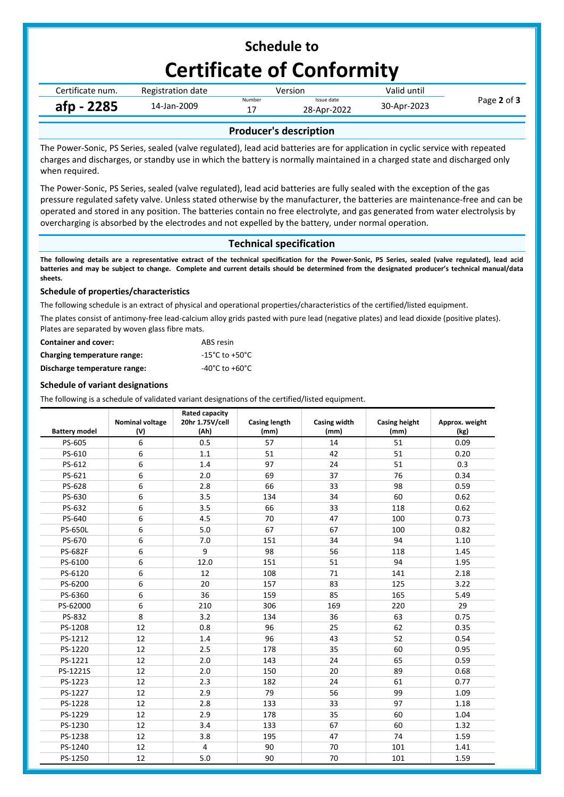## **Schedule to Certificate of Conformity**

| Certificate num. | Registration date | Version                             |  | Valid until |             |
|------------------|-------------------|-------------------------------------|--|-------------|-------------|
| afp - 2285       | 14-Jan-2009       | Number<br>Issue date<br>28-Apr-2022 |  | 30-Apr-2023 | Page 2 of 3 |
|                  |                   |                                     |  |             |             |

## **Producer's description**

The Power-Sonic, PS Series, sealed (valve regulated), lead acid batteries are for application in cyclic service with repeated charges and discharges, or standby use in which the battery is normally maintained in a charged state and discharged only when required.

The Power-Sonic, PS Series, sealed (valve regulated), lead acid batteries are fully sealed with the exception of the gas pressure regulated safety valve. Unless stated otherwise by the manufacturer, the batteries are maintenance-free and can be operated and stored in any position. The batteries contain no free electrolyte, and gas generated from water electrolysis by overcharging is absorbed by the electrodes and not expelled by the battery, under normal operation.

## **Technical specification**

**The following details are a representative extract of the technical specification for the Power-Sonic, PS Series, sealed (valve regulated), lead acid batteries and may be subject to change. Complete and current details should be determined from the designated producer's technical manual/data sheets.**

### **Schedule of properties/characteristics**

The following schedule is an extract of physical and operational properties/characteristics of the certified/listed equipment.

The plates consist of antimony-free lead-calcium alloy grids pasted with pure lead (negative plates) and lead dioxide (positive plates). Plates are separated by woven glass fibre mats.

| <b>Container and cover:</b>  | ABS resin      |
|------------------------------|----------------|
| Charging temperature range:  | -15°C to +50°C |
| Discharge temperature range: | -40°C to +60°C |

#### **Schedule of variant designations**

The following is a schedule of validated variant designations of the certified/listed equipment.

| <b>Battery model</b> | <b>Nominal voltage</b><br>(V) | <b>Rated capacity</b><br>20hr 1.75V/cell<br>(Ah) | <b>Casing length</b><br>(mm) | <b>Casing width</b><br>(mm) | <b>Casing height</b><br>(mm) | Approx. weight<br>(kg) |
|----------------------|-------------------------------|--------------------------------------------------|------------------------------|-----------------------------|------------------------------|------------------------|
| PS-605               | 6                             | 0.5                                              | 57                           | 14                          | 51                           | 0.09                   |
| PS-610               | 6                             | 1.1                                              | 51                           | 42                          | 51                           | 0.20                   |
| PS-612               | 6                             | 1.4                                              | 97                           | 24                          | 51                           | 0.3                    |
| PS-621               | 6                             | 2.0                                              | 69                           | 37                          | 76                           | 0.34                   |
| PS-628               | 6                             | 2.8                                              | 66                           | 33                          | 98                           | 0.59                   |
| PS-630               | 6                             | 3.5                                              | 134                          | 34                          | 60                           | 0.62                   |
| PS-632               | 6                             | 3.5                                              | 66                           | 33                          | 118                          | 0.62                   |
| PS-640               | 6                             | 4.5                                              | 70                           | 47                          | 100                          | 0.73                   |
| <b>PS-650L</b>       | 6                             | 5.0                                              | 67                           | 67                          | 100                          | 0.82                   |
| PS-670               | 6                             | 7.0                                              | 151                          | 34                          | 94                           | 1.10                   |
| <b>PS-682F</b>       | 6                             | 9                                                | 98                           | 56                          | 118                          | 1.45                   |
| PS-6100              | 6                             | 12.0                                             | 151                          | 51                          | 94                           | 1.95                   |
| PS-6120              | 6                             | 12                                               | 108                          | 71                          | 141                          | 2.18                   |
| PS-6200              | 6                             | 20                                               | 157                          | 83                          | 125                          | 3.22                   |
| PS-6360              | 6                             | 36                                               | 159                          | 85                          | 165                          | 5.49                   |
| PS-62000             | 6                             | 210                                              | 306                          | 169                         | 220                          | 29                     |
| PS-832               | 8                             | 3.2                                              | 134                          | 36                          | 63                           | 0.75                   |
| PS-1208              | 12                            | 0.8                                              | 96                           | 25                          | 62                           | 0.35                   |
| PS-1212              | 12                            | 1.4                                              | 96                           | 43                          | 52                           | 0.54                   |
| PS-1220              | 12                            | 2.5                                              | 178                          | 35                          | 60                           | 0.95                   |
| PS-1221              | 12                            | 2.0                                              | 143                          | 24                          | 65                           | 0.59                   |
| PS-1221S             | 12                            | 2.0                                              | 150                          | 20                          | 89                           | 0.68                   |
| PS-1223              | 12                            | 2.3                                              | 182                          | 24                          | 61                           | 0.77                   |
| PS-1227              | 12                            | 2.9                                              | 79                           | 56                          | 99                           | 1.09                   |
| PS-1228              | 12                            | 2.8                                              | 133                          | 33                          | 97                           | 1.18                   |
| PS-1229              | 12                            | 2.9                                              | 178                          | 35                          | 60                           | 1.04                   |
| PS-1230              | 12                            | 3.4                                              | 133                          | 67                          | 60                           | 1.32                   |
| PS-1238              | 12                            | 3.8                                              | 195                          | 47                          | 74                           | 1.59                   |
| PS-1240              | 12                            | 4                                                | 90                           | 70                          | 101                          | 1.41                   |
| PS-1250              | 12                            | 5.0                                              | 90                           | 70                          | 101                          | 1.59                   |